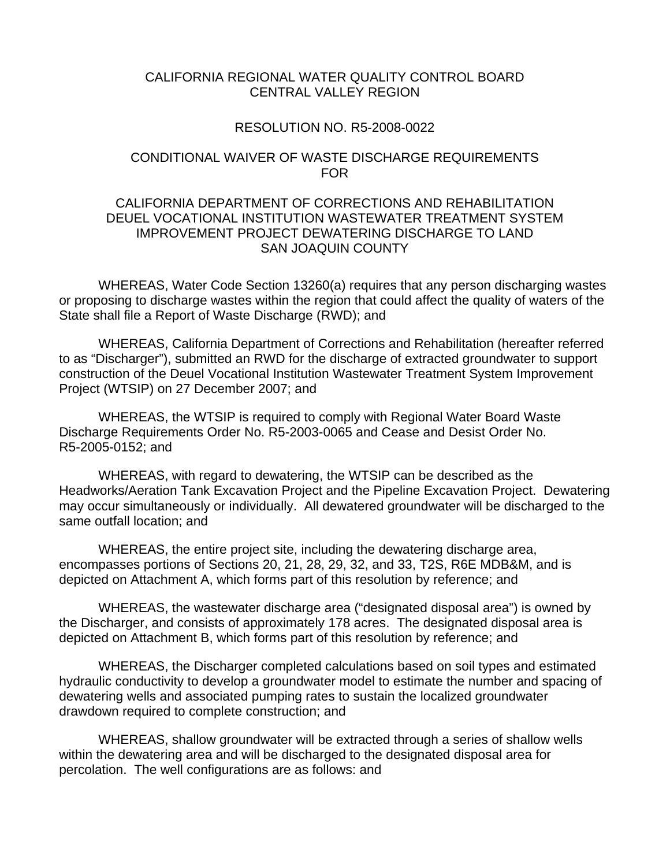#### CALIFORNIA REGIONAL WATER QUALITY CONTROL BOARD CENTRAL VALLEY REGION

#### RESOLUTION NO. R5-2008-0022

#### CONDITIONAL WAIVER OF WASTE DISCHARGE REQUIREMENTS FOR

### CALIFORNIA DEPARTMENT OF CORRECTIONS AND REHABILITATION DEUEL VOCATIONAL INSTITUTION WASTEWATER TREATMENT SYSTEM IMPROVEMENT PROJECT DEWATERING DISCHARGE TO LAND SAN JOAQUIN COUNTY

 WHEREAS, Water Code Section 13260(a) requires that any person discharging wastes or proposing to discharge wastes within the region that could affect the quality of waters of the State shall file a Report of Waste Discharge (RWD); and

 WHEREAS, California Department of Corrections and Rehabilitation (hereafter referred to as "Discharger"), submitted an RWD for the discharge of extracted groundwater to support construction of the Deuel Vocational Institution Wastewater Treatment System Improvement Project (WTSIP) on 27 December 2007; and

 WHEREAS, the WTSIP is required to comply with Regional Water Board Waste Discharge Requirements Order No. R5-2003-0065 and Cease and Desist Order No. R5-2005-0152; and

 WHEREAS, with regard to dewatering, the WTSIP can be described as the Headworks/Aeration Tank Excavation Project and the Pipeline Excavation Project. Dewatering may occur simultaneously or individually. All dewatered groundwater will be discharged to the same outfall location; and

 WHEREAS, the entire project site, including the dewatering discharge area, encompasses portions of Sections 20, 21, 28, 29, 32, and 33, T2S, R6E MDB&M, and is depicted on Attachment A, which forms part of this resolution by reference; and

 WHEREAS, the wastewater discharge area ("designated disposal area") is owned by the Discharger, and consists of approximately 178 acres. The designated disposal area is depicted on Attachment B, which forms part of this resolution by reference; and

 WHEREAS, the Discharger completed calculations based on soil types and estimated hydraulic conductivity to develop a groundwater model to estimate the number and spacing of dewatering wells and associated pumping rates to sustain the localized groundwater drawdown required to complete construction; and

 WHEREAS, shallow groundwater will be extracted through a series of shallow wells within the dewatering area and will be discharged to the designated disposal area for percolation. The well configurations are as follows: and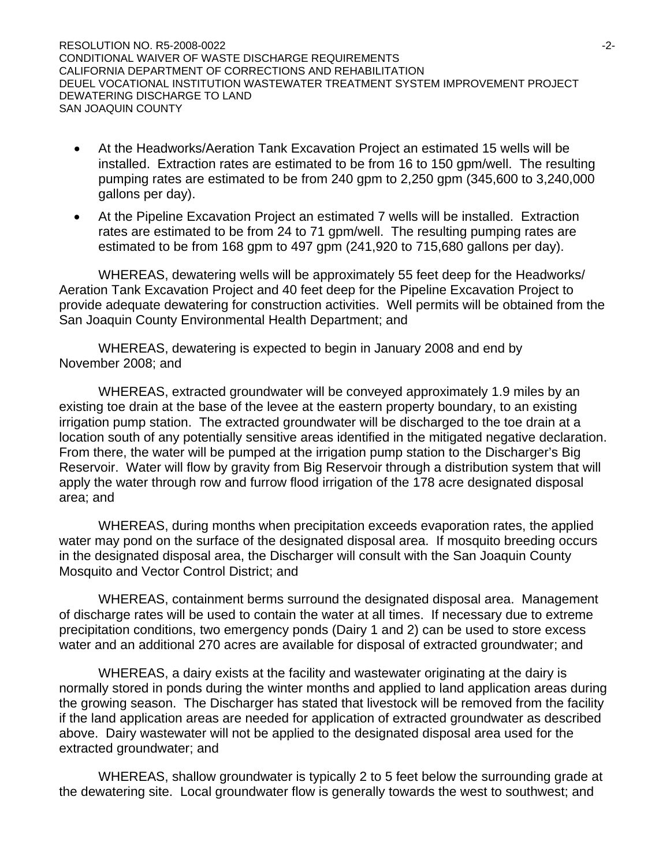RESOLUTION NO. R5-2008-0022 -2- CONDITIONAL WAIVER OF WASTE DISCHARGE REQUIREMENTS CALIFORNIA DEPARTMENT OF CORRECTIONS AND REHABILITATION DEUEL VOCATIONAL INSTITUTION WASTEWATER TREATMENT SYSTEM IMPROVEMENT PROJECT DEWATERING DISCHARGE TO LAND SAN JOAQUIN COUNTY

- At the Headworks/Aeration Tank Excavation Project an estimated 15 wells will be installed. Extraction rates are estimated to be from 16 to 150 gpm/well. The resulting pumping rates are estimated to be from 240 gpm to 2,250 gpm (345,600 to 3,240,000 gallons per day).
- At the Pipeline Excavation Project an estimated 7 wells will be installed. Extraction rates are estimated to be from 24 to 71 gpm/well. The resulting pumping rates are estimated to be from 168 gpm to 497 gpm (241,920 to 715,680 gallons per day).

 WHEREAS, dewatering wells will be approximately 55 feet deep for the Headworks/ Aeration Tank Excavation Project and 40 feet deep for the Pipeline Excavation Project to provide adequate dewatering for construction activities. Well permits will be obtained from the San Joaquin County Environmental Health Department; and

 WHEREAS, dewatering is expected to begin in January 2008 and end by November 2008; and

 WHEREAS, extracted groundwater will be conveyed approximately 1.9 miles by an existing toe drain at the base of the levee at the eastern property boundary, to an existing irrigation pump station. The extracted groundwater will be discharged to the toe drain at a location south of any potentially sensitive areas identified in the mitigated negative declaration. From there, the water will be pumped at the irrigation pump station to the Discharger's Big Reservoir. Water will flow by gravity from Big Reservoir through a distribution system that will apply the water through row and furrow flood irrigation of the 178 acre designated disposal area; and

 WHEREAS, during months when precipitation exceeds evaporation rates, the applied water may pond on the surface of the designated disposal area. If mosquito breeding occurs in the designated disposal area, the Discharger will consult with the San Joaquin County Mosquito and Vector Control District; and

 WHEREAS, containment berms surround the designated disposal area. Management of discharge rates will be used to contain the water at all times. If necessary due to extreme precipitation conditions, two emergency ponds (Dairy 1 and 2) can be used to store excess water and an additional 270 acres are available for disposal of extracted groundwater; and

 WHEREAS, a dairy exists at the facility and wastewater originating at the dairy is normally stored in ponds during the winter months and applied to land application areas during the growing season. The Discharger has stated that livestock will be removed from the facility if the land application areas are needed for application of extracted groundwater as described above. Dairy wastewater will not be applied to the designated disposal area used for the extracted groundwater; and

 WHEREAS, shallow groundwater is typically 2 to 5 feet below the surrounding grade at the dewatering site. Local groundwater flow is generally towards the west to southwest; and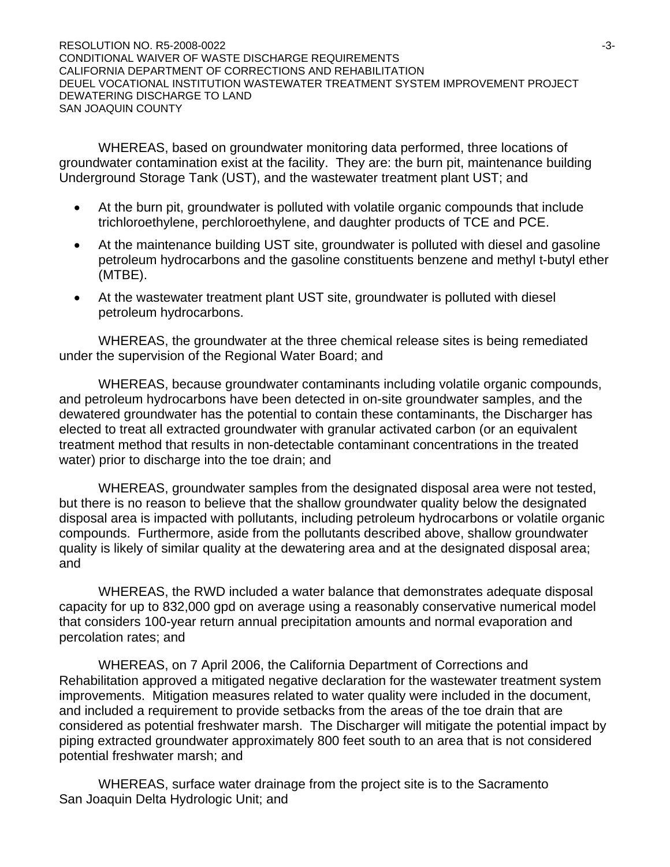RESOLUTION NO. R5-2008-0022 -3- CONDITIONAL WAIVER OF WASTE DISCHARGE REQUIREMENTS CALIFORNIA DEPARTMENT OF CORRECTIONS AND REHABILITATION DEUEL VOCATIONAL INSTITUTION WASTEWATER TREATMENT SYSTEM IMPROVEMENT PROJECT DEWATERING DISCHARGE TO LAND SAN JOAQUIN COUNTY

 WHEREAS, based on groundwater monitoring data performed, three locations of groundwater contamination exist at the facility. They are: the burn pit, maintenance building Underground Storage Tank (UST), and the wastewater treatment plant UST; and

- At the burn pit, groundwater is polluted with volatile organic compounds that include trichloroethylene, perchloroethylene, and daughter products of TCE and PCE.
- At the maintenance building UST site, groundwater is polluted with diesel and gasoline petroleum hydrocarbons and the gasoline constituents benzene and methyl t-butyl ether (MTBE).
- At the wastewater treatment plant UST site, groundwater is polluted with diesel petroleum hydrocarbons.

 WHEREAS, the groundwater at the three chemical release sites is being remediated under the supervision of the Regional Water Board; and

 WHEREAS, because groundwater contaminants including volatile organic compounds, and petroleum hydrocarbons have been detected in on-site groundwater samples, and the dewatered groundwater has the potential to contain these contaminants, the Discharger has elected to treat all extracted groundwater with granular activated carbon (or an equivalent treatment method that results in non-detectable contaminant concentrations in the treated water) prior to discharge into the toe drain; and

 WHEREAS, groundwater samples from the designated disposal area were not tested, but there is no reason to believe that the shallow groundwater quality below the designated disposal area is impacted with pollutants, including petroleum hydrocarbons or volatile organic compounds. Furthermore, aside from the pollutants described above, shallow groundwater quality is likely of similar quality at the dewatering area and at the designated disposal area; and

 WHEREAS, the RWD included a water balance that demonstrates adequate disposal capacity for up to 832,000 gpd on average using a reasonably conservative numerical model that considers 100-year return annual precipitation amounts and normal evaporation and percolation rates; and

 WHEREAS, on 7 April 2006, the California Department of Corrections and Rehabilitation approved a mitigated negative declaration for the wastewater treatment system improvements. Mitigation measures related to water quality were included in the document, and included a requirement to provide setbacks from the areas of the toe drain that are considered as potential freshwater marsh. The Discharger will mitigate the potential impact by piping extracted groundwater approximately 800 feet south to an area that is not considered potential freshwater marsh; and

 WHEREAS, surface water drainage from the project site is to the Sacramento San Joaquin Delta Hydrologic Unit; and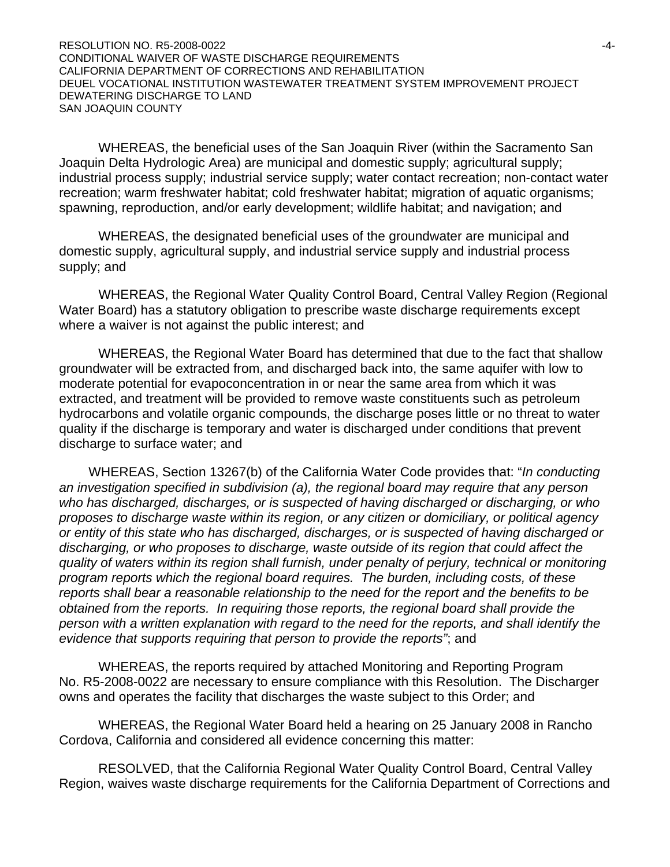RESOLUTION NO. R5-2008-0022 -4- CONDITIONAL WAIVER OF WASTE DISCHARGE REQUIREMENTS CALIFORNIA DEPARTMENT OF CORRECTIONS AND REHABILITATION DEUEL VOCATIONAL INSTITUTION WASTEWATER TREATMENT SYSTEM IMPROVEMENT PROJECT DEWATERING DISCHARGE TO LAND SAN JOAQUIN COUNTY

 WHEREAS, the beneficial uses of the San Joaquin River (within the Sacramento San Joaquin Delta Hydrologic Area) are municipal and domestic supply; agricultural supply; industrial process supply; industrial service supply; water contact recreation; non-contact water recreation; warm freshwater habitat; cold freshwater habitat; migration of aquatic organisms; spawning, reproduction, and/or early development; wildlife habitat; and navigation; and

 WHEREAS, the designated beneficial uses of the groundwater are municipal and domestic supply, agricultural supply, and industrial service supply and industrial process supply; and

 WHEREAS, the Regional Water Quality Control Board, Central Valley Region (Regional Water Board) has a statutory obligation to prescribe waste discharge requirements except where a waiver is not against the public interest; and

 WHEREAS, the Regional Water Board has determined that due to the fact that shallow groundwater will be extracted from, and discharged back into, the same aquifer with low to moderate potential for evapoconcentration in or near the same area from which it was extracted, and treatment will be provided to remove waste constituents such as petroleum hydrocarbons and volatile organic compounds, the discharge poses little or no threat to water quality if the discharge is temporary and water is discharged under conditions that prevent discharge to surface water; and

WHEREAS, Section 13267(b) of the California Water Code provides that: "*In conducting an investigation specified in subdivision (a), the regional board may require that any person who has discharged, discharges, or is suspected of having discharged or discharging, or who proposes to discharge waste within its region, or any citizen or domiciliary, or political agency or entity of this state who has discharged, discharges, or is suspected of having discharged or discharging, or who proposes to discharge, waste outside of its region that could affect the quality of waters within its region shall furnish, under penalty of perjury, technical or monitoring program reports which the regional board requires. The burden, including costs, of these reports shall bear a reasonable relationship to the need for the report and the benefits to be obtained from the reports. In requiring those reports, the regional board shall provide the person with a written explanation with regard to the need for the reports, and shall identify the evidence that supports requiring that person to provide the reports"*; and

WHEREAS, the reports required by attached Monitoring and Reporting Program No. R5-2008-0022 are necessary to ensure compliance with this Resolution. The Discharger owns and operates the facility that discharges the waste subject to this Order; and

 WHEREAS, the Regional Water Board held a hearing on 25 January 2008 in Rancho Cordova, California and considered all evidence concerning this matter:

 RESOLVED, that the California Regional Water Quality Control Board, Central Valley Region, waives waste discharge requirements for the California Department of Corrections and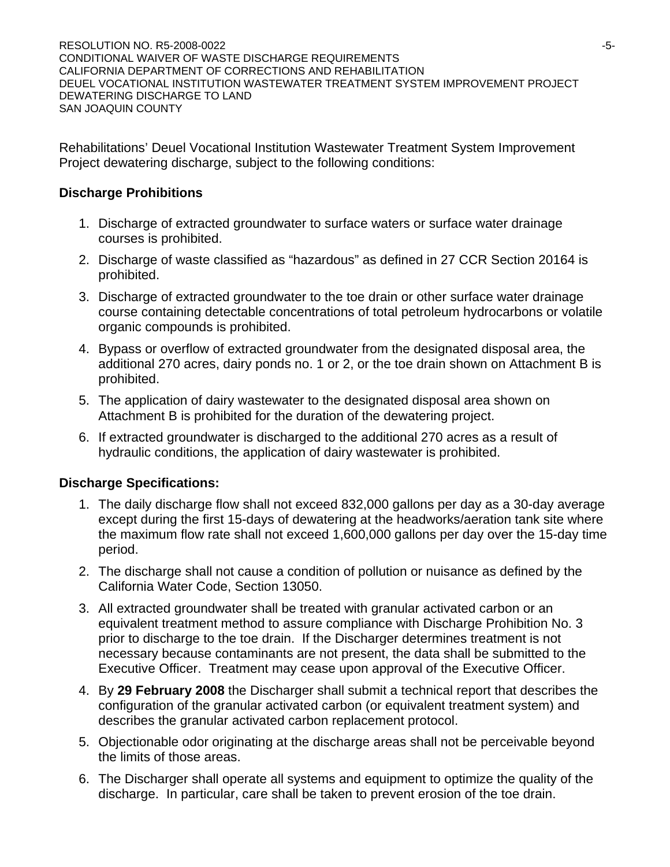RESOLUTION NO. R5-2008-0022 - 2008 - 2012 - 2022 - 2022 - 2022 - 2022 - 2022 - 2022 - 2022 - 2022 - 2022 - 202 CONDITIONAL WAIVER OF WASTE DISCHARGE REQUIREMENTS CALIFORNIA DEPARTMENT OF CORRECTIONS AND REHABILITATION DEUEL VOCATIONAL INSTITUTION WASTEWATER TREATMENT SYSTEM IMPROVEMENT PROJECT DEWATERING DISCHARGE TO LAND SAN JOAQUIN COUNTY

Rehabilitations' Deuel Vocational Institution Wastewater Treatment System Improvement Project dewatering discharge, subject to the following conditions:

## **Discharge Prohibitions**

- 1. Discharge of extracted groundwater to surface waters or surface water drainage courses is prohibited.
- 2. Discharge of waste classified as "hazardous" as defined in 27 CCR Section 20164 is prohibited.
- 3. Discharge of extracted groundwater to the toe drain or other surface water drainage course containing detectable concentrations of total petroleum hydrocarbons or volatile organic compounds is prohibited.
- 4. Bypass or overflow of extracted groundwater from the designated disposal area, the additional 270 acres, dairy ponds no. 1 or 2, or the toe drain shown on Attachment B is prohibited.
- 5. The application of dairy wastewater to the designated disposal area shown on Attachment B is prohibited for the duration of the dewatering project.
- 6. If extracted groundwater is discharged to the additional 270 acres as a result of hydraulic conditions, the application of dairy wastewater is prohibited.

# **Discharge Specifications:**

- 1. The daily discharge flow shall not exceed 832,000 gallons per day as a 30-day average except during the first 15-days of dewatering at the headworks/aeration tank site where the maximum flow rate shall not exceed 1,600,000 gallons per day over the 15-day time period.
- 2. The discharge shall not cause a condition of pollution or nuisance as defined by the California Water Code, Section 13050.
- 3. All extracted groundwater shall be treated with granular activated carbon or an equivalent treatment method to assure compliance with Discharge Prohibition No. 3 prior to discharge to the toe drain. If the Discharger determines treatment is not necessary because contaminants are not present, the data shall be submitted to the Executive Officer. Treatment may cease upon approval of the Executive Officer.
- 4. By **29 February 2008** the Discharger shall submit a technical report that describes the configuration of the granular activated carbon (or equivalent treatment system) and describes the granular activated carbon replacement protocol.
- 5. Objectionable odor originating at the discharge areas shall not be perceivable beyond the limits of those areas.
- 6. The Discharger shall operate all systems and equipment to optimize the quality of the discharge. In particular, care shall be taken to prevent erosion of the toe drain.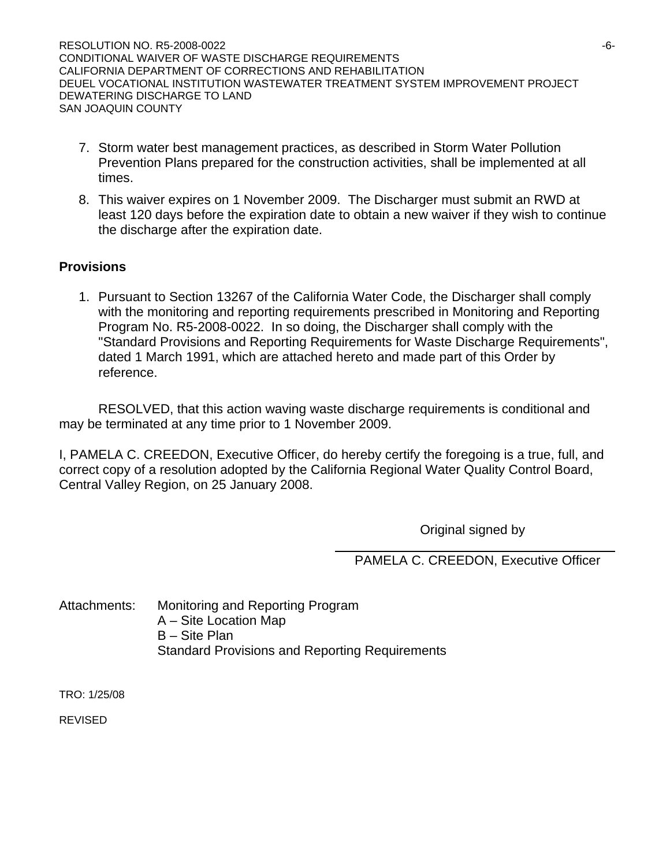RESOLUTION NO. R5-2008-0022 - 2008 - 2008 - 2010 - 2010 - 2010 - 2010 - 2011 - 2011 - 2012 - 2014 - 2014 - 201 CONDITIONAL WAIVER OF WASTE DISCHARGE REQUIREMENTS CALIFORNIA DEPARTMENT OF CORRECTIONS AND REHABILITATION DEUEL VOCATIONAL INSTITUTION WASTEWATER TREATMENT SYSTEM IMPROVEMENT PROJECT DEWATERING DISCHARGE TO LAND SAN JOAQUIN COUNTY

- 7. Storm water best management practices, as described in Storm Water Pollution Prevention Plans prepared for the construction activities, shall be implemented at all times.
- 8. This waiver expires on 1 November 2009. The Discharger must submit an RWD at least 120 days before the expiration date to obtain a new waiver if they wish to continue the discharge after the expiration date.

# **Provisions**

1. Pursuant to Section 13267 of the California Water Code, the Discharger shall comply with the monitoring and reporting requirements prescribed in Monitoring and Reporting Program No. R5-2008-0022. In so doing, the Discharger shall comply with the "Standard Provisions and Reporting Requirements for Waste Discharge Requirements", dated 1 March 1991, which are attached hereto and made part of this Order by reference.

 RESOLVED, that this action waving waste discharge requirements is conditional and may be terminated at any time prior to 1 November 2009.

I, PAMELA C. CREEDON, Executive Officer, do hereby certify the foregoing is a true, full, and correct copy of a resolution adopted by the California Regional Water Quality Control Board, Central Valley Region, on 25 January 2008.

Original signed by

PAMELA C. CREEDON, Executive Officer

Attachments: Monitoring and Reporting Program A – Site Location Map B – Site Plan Standard Provisions and Reporting Requirements

TRO: 1/25/08

REVISED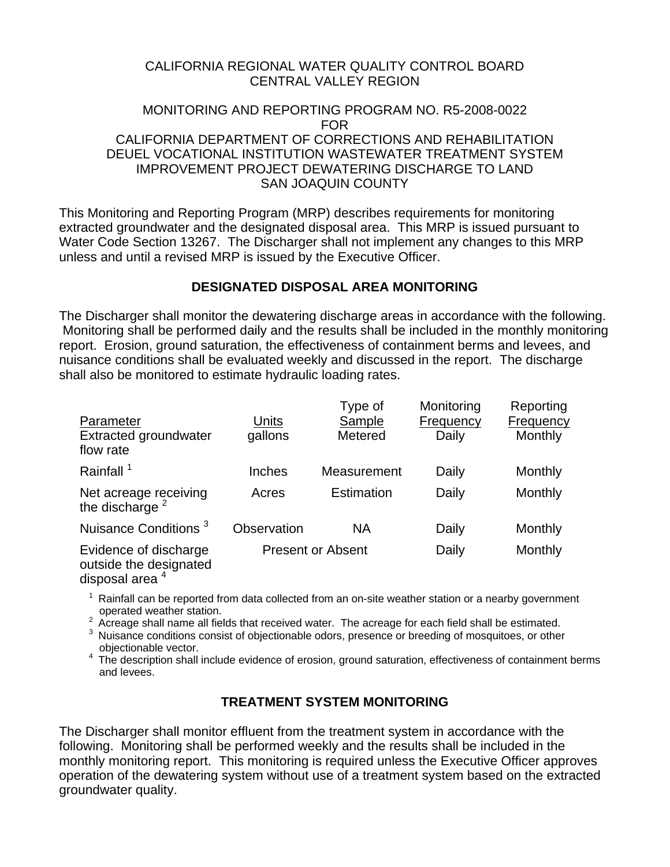### CALIFORNIA REGIONAL WATER QUALITY CONTROL BOARD CENTRAL VALLEY REGION

#### MONITORING AND REPORTING PROGRAM NO. R5-2008-0022 FOR CALIFORNIA DEPARTMENT OF CORRECTIONS AND REHABILITATION DEUEL VOCATIONAL INSTITUTION WASTEWATER TREATMENT SYSTEM IMPROVEMENT PROJECT DEWATERING DISCHARGE TO LAND SAN JOAQUIN COUNTY

This Monitoring and Reporting Program (MRP) describes requirements for monitoring extracted groundwater and the designated disposal area. This MRP is issued pursuant to Water Code Section 13267. The Discharger shall not implement any changes to this MRP unless and until a revised MRP is issued by the Executive Officer.

## **DESIGNATED DISPOSAL AREA MONITORING**

The Discharger shall monitor the dewatering discharge areas in accordance with the following. Monitoring shall be performed daily and the results shall be included in the monthly monitoring report. Erosion, ground saturation, the effectiveness of containment berms and levees, and nuisance conditions shall be evaluated weekly and discussed in the report. The discharge shall also be monitored to estimate hydraulic loading rates.

| Parameter<br><b>Extracted groundwater</b><br>flow rate | Units<br>gallons         | Type of<br>Sample<br>Metered | Monitoring<br>Frequency<br>Daily | Reporting<br>Frequency<br>Monthly |
|--------------------------------------------------------|--------------------------|------------------------------|----------------------------------|-----------------------------------|
| Rainfall <sup>1</sup>                                  | Inches                   | Measurement                  | Daily                            | Monthly                           |
| Net acreage receiving<br>the discharge <sup>2</sup>    | Acres                    | Estimation                   | Daily                            | Monthly                           |
| Nuisance Conditions <sup>3</sup>                       | Observation              | <b>NA</b>                    | Daily                            | Monthly                           |
| Evidence of discharge<br>outside the designated        | <b>Present or Absent</b> |                              | Daily                            | Monthly                           |

disposal area<sup>4</sup>

 $1$  Rainfall can be reported from data collected from an on-site weather station or a nearby government

operated weather station.<br><sup>2</sup> Acreage shall name all fields that received water. The acreage for each field shall be estimated.

<sup>3</sup> Nuisance conditions consist of objectionable odors, presence or breeding of mosquitoes, or other

objectionable vector.<br><sup>4</sup> The description shall include evidence of erosion, ground saturation, effectiveness of containment berms and levees.

## **TREATMENT SYSTEM MONITORING**

The Discharger shall monitor effluent from the treatment system in accordance with the following. Monitoring shall be performed weekly and the results shall be included in the monthly monitoring report. This monitoring is required unless the Executive Officer approves operation of the dewatering system without use of a treatment system based on the extracted groundwater quality.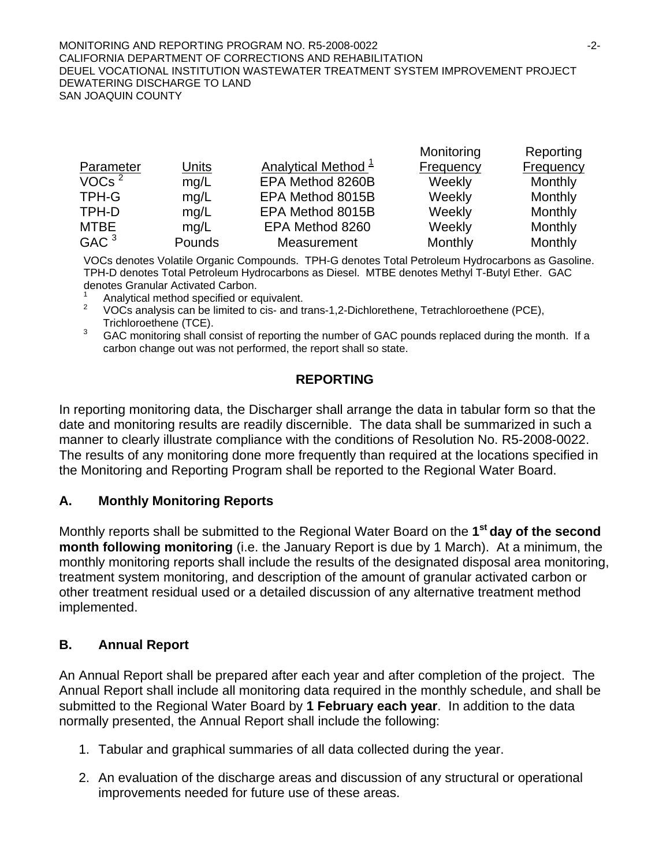#### MONITORING AND REPORTING PROGRAM NO. R5-2008-0022 -2- CALIFORNIA DEPARTMENT OF CORRECTIONS AND REHABILITATION DEUEL VOCATIONAL INSTITUTION WASTEWATER TREATMENT SYSTEM IMPROVEMENT PROJECT DEWATERING DISCHARGE TO LAND SAN JOAQUIN COUNTY

| Reporting        |
|------------------|
| <b>Frequency</b> |
| Monthly          |
| Monthly          |
| Monthly          |
| Monthly          |
| Monthly          |
|                  |

Monitoring

VOCs denotes Volatile Organic Compounds. TPH-G denotes Total Petroleum Hydrocarbons as Gasoline. TPH-D denotes Total Petroleum Hydrocarbons as Diesel. MTBE denotes Methyl T-Butyl Ether. GAC denotes Granular Activated Carbon.

- 1 Analytical method specified or equivalent.
- 2 VOCs analysis can be limited to cis- and trans-1,2-Dichlorethene, Tetrachloroethene (PCE), Trichloroethene (TCE).
- 3 GAC monitoring shall consist of reporting the number of GAC pounds replaced during the month. If a carbon change out was not performed, the report shall so state.

# **REPORTING**

In reporting monitoring data, the Discharger shall arrange the data in tabular form so that the date and monitoring results are readily discernible. The data shall be summarized in such a manner to clearly illustrate compliance with the conditions of Resolution No. R5-2008-0022. The results of any monitoring done more frequently than required at the locations specified in the Monitoring and Reporting Program shall be reported to the Regional Water Board.

# **A. Monthly Monitoring Reports**

Monthly reports shall be submitted to the Regional Water Board on the **1st day of the second month following monitoring** (i.e. the January Report is due by 1 March). At a minimum, the monthly monitoring reports shall include the results of the designated disposal area monitoring, treatment system monitoring, and description of the amount of granular activated carbon or other treatment residual used or a detailed discussion of any alternative treatment method implemented.

# **B. Annual Report**

An Annual Report shall be prepared after each year and after completion of the project. The Annual Report shall include all monitoring data required in the monthly schedule, and shall be submitted to the Regional Water Board by **1 February each year**. In addition to the data normally presented, the Annual Report shall include the following:

- 1. Tabular and graphical summaries of all data collected during the year.
- 2. An evaluation of the discharge areas and discussion of any structural or operational improvements needed for future use of these areas.

Reporting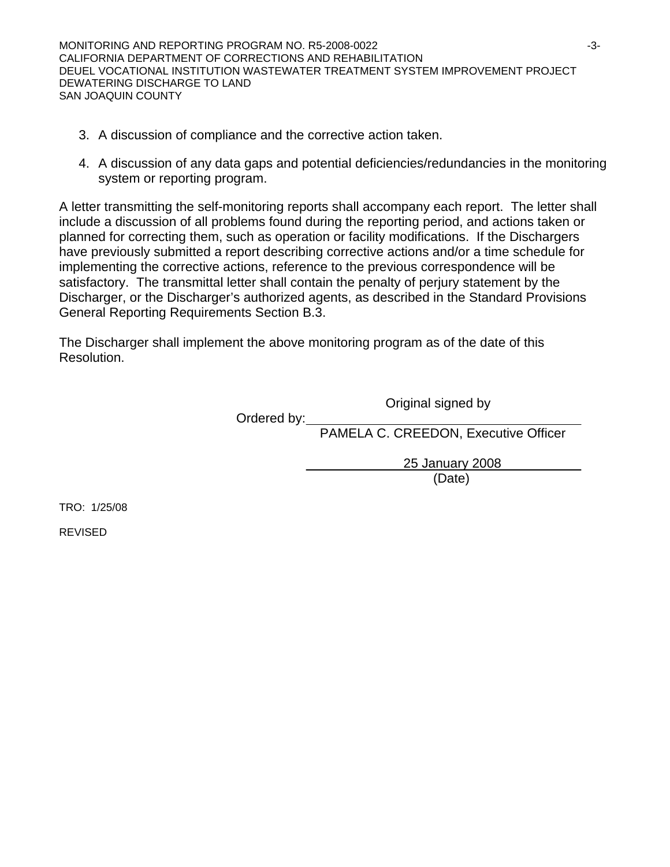MONITORING AND REPORTING PROGRAM NO. R5-2008-0022  $-3$ -3-CALIFORNIA DEPARTMENT OF CORRECTIONS AND REHABILITATION DEUEL VOCATIONAL INSTITUTION WASTEWATER TREATMENT SYSTEM IMPROVEMENT PROJECT DEWATERING DISCHARGE TO LAND SAN JOAQUIN COUNTY

- 3. A discussion of compliance and the corrective action taken.
- 4. A discussion of any data gaps and potential deficiencies/redundancies in the monitoring system or reporting program.

A letter transmitting the self-monitoring reports shall accompany each report. The letter shall include a discussion of all problems found during the reporting period, and actions taken or planned for correcting them, such as operation or facility modifications. If the Dischargers have previously submitted a report describing corrective actions and/or a time schedule for implementing the corrective actions, reference to the previous correspondence will be satisfactory. The transmittal letter shall contain the penalty of perjury statement by the Discharger, or the Discharger's authorized agents, as described in the Standard Provisions General Reporting Requirements Section B.3.

The Discharger shall implement the above monitoring program as of the date of this Resolution.

Original signed by

Ordered by:

PAMELA C. CREEDON, Executive Officer

 25 January 2008 (Date)

TRO: 1/25/08

REVISED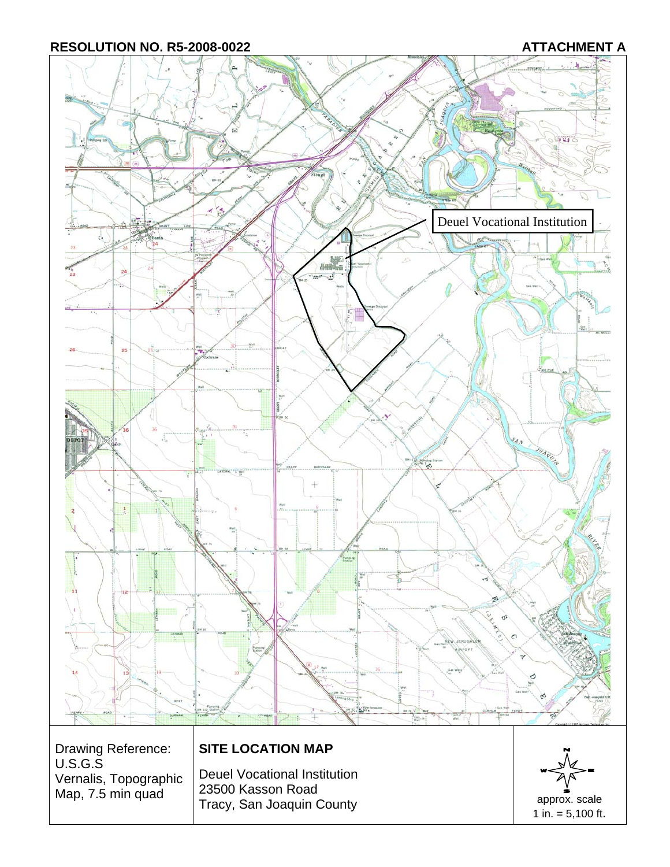RESOLUTION NO. R5-2008-0022 **ATTACHMENT A**